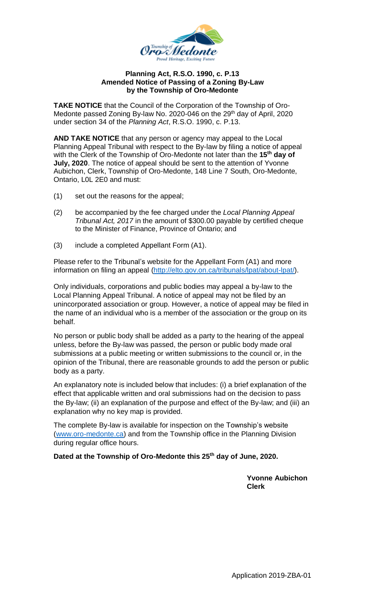

## **Planning Act, R.S.O. 1990, c. P.13 Amended Notice of Passing of a Zoning By-Law by the Township of Oro-Medonte**

**TAKE NOTICE** that the Council of the Corporation of the Township of Oro-Medonte passed Zoning By-law No. 2020-046 on the 29<sup>th</sup> day of April, 2020 under section 34 of the *Planning Act*, R.S.O. 1990, c. P.13.

**AND TAKE NOTICE** that any person or agency may appeal to the Local Planning Appeal Tribunal with respect to the By-law by filing a notice of appeal with the Clerk of the Township of Oro-Medonte not later than the **15 th day of July, 2020**. The notice of appeal should be sent to the attention of Yvonne Aubichon, Clerk, Township of Oro-Medonte, 148 Line 7 South, Oro-Medonte, Ontario, L0L 2E0 and must:

- (1) set out the reasons for the appeal;
- (2) be accompanied by the fee charged under the *Local Planning Appeal Tribunal Act, 2017* in the amount of \$300.00 payable by certified cheque to the Minister of Finance, Province of Ontario; and
- (3) include a completed Appellant Form (A1).

Please refer to the Tribunal's website for the Appellant Form (A1) and more information on filing an appeal [\(http://elto.gov.on.ca/tribunals/lpat/about-lpat/\)](http://elto.gov.on.ca/tribunals/lpat/about-lpat/).

Only individuals, corporations and public bodies may appeal a by-law to the Local Planning Appeal Tribunal. A notice of appeal may not be filed by an unincorporated association or group. However, a notice of appeal may be filed in the name of an individual who is a member of the association or the group on its behalf.

No person or public body shall be added as a party to the hearing of the appeal unless, before the By-law was passed, the person or public body made oral submissions at a public meeting or written submissions to the council or, in the opinion of the Tribunal, there are reasonable grounds to add the person or public body as a party.

An explanatory note is included below that includes: (i) a brief explanation of the effect that applicable written and oral submissions had on the decision to pass the By-law; (ii) an explanation of the purpose and effect of the By-law; and (iii) an explanation why no key map is provided.

The complete By-law is available for inspection on the Township's website [\(www.oro-medonte.ca\)](http://www.oro-medonte.ca/) and from the Township office in the Planning Division during regular office hours.

**Dated at the Township of Oro-Medonte this 25th day of June, 2020.**

**Yvonne Aubichon Clerk**